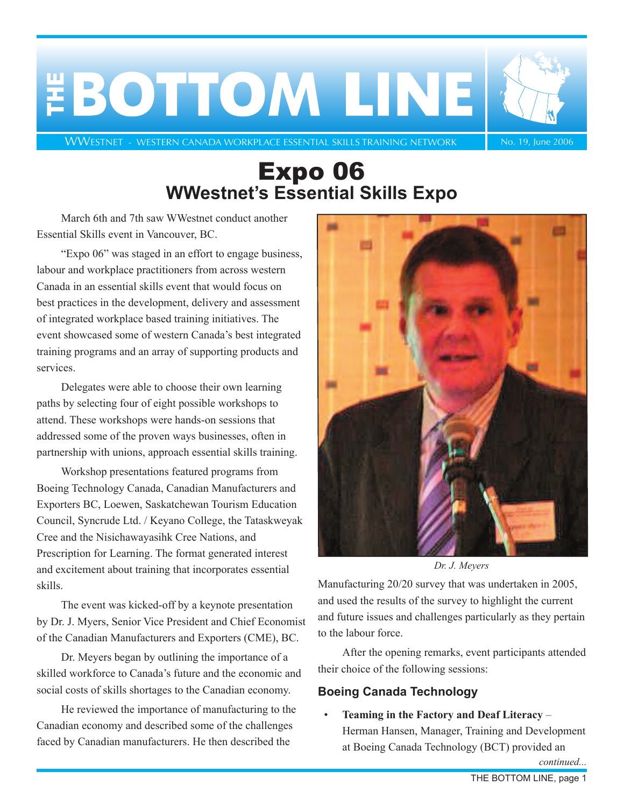<span id="page-0-0"></span>

[WWESTNET - WESTERN CANADA WORKPLACE ESSENTIAL SKILLS TRAINING NETWORK](http://www.nald.ca/wwestnet/index.html) No. 19, June 2006

## Expo 06 **WWestnet's Essential Skills Expo**

March 6th and 7th saw WWestnet conduct another Essential Skills event in Vancouver, BC.

"Expo 06" was staged in an effort to engage business, labour and workplace practitioners from across western Canada in an essential skills event that would focus on best practices in the development, delivery and assessment of integrated workplace based training initiatives. The event showcased some of western Canada's best integrated training programs and an array of supporting products and services.

Delegates were able to choose their own learning paths by selecting four of eight possible workshops to attend. These workshops were hands-on sessions that addressed some of the proven ways businesses, often in partnership with unions, approach essential skills training.

Workshop presentations featured programs from Boeing Technology Canada, Canadian Manufacturers and Exporters BC, Loewen, Saskatchewan Tourism Education Council, Syncrude Ltd. / Keyano College, the Tataskweyak Cree and the Nisichawayasihk Cree Nations, and Prescription for Learning. The format generated interest and excitement about training that incorporates essential skills.

The event was kicked-off by a keynote presentation by Dr. J. Myers, Senior Vice President and Chief Economist of the Canadian Manufacturers and Exporters (CME), BC.

Dr. Meyers began by outlining the importance of a skilled workforce to Canada's future and the economic and social costs of skills shortages to the Canadian economy.

He reviewed the importance of manufacturing to the Canadian economy and described some of the challenges faced by Canadian manufacturers. He then described the



*Dr. J. Meyers*

Manufacturing 20/20 survey that was undertaken in 2005, and used the results of the survey to highlight the current and future issues and challenges particularly as they pertain to the labour force.

After the opening remarks, event participants attended their choice of the following sessions:

### **Boeing Canada Technology**

• **Teaming in the Factory and Deaf Literacy** – Herman Hansen, Manager, Training and Development at Boeing Canada Technology (BCT) provided an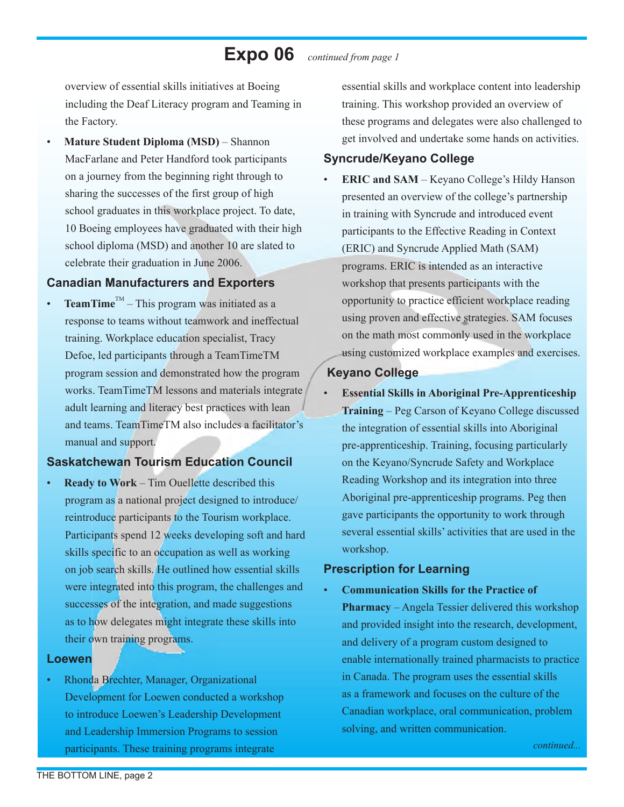### **Expo 06** *continued from page 1*

overview of essential skills initiatives at Boeing including the Deaf Literacy program and Teaming in the Factory.

• **Mature Student Diploma (MSD)** – Shannon MacFarlane and Peter Handford took participants on a journey from the beginning right through to sharing the successes of the first group of high school graduates in this workplace project. To date, 10 Boeing employees have graduated with their high school diploma (MSD) and another 10 are slated to celebrate their graduation in June 2006.

#### **Canadian Manufacturers and Exporters**

**TeamTime**<sup>TM</sup> – This program was initiated as a response to teams without teamwork and ineffectual training. Workplace education specialist, Tracy Defoe, led participants through a TeamTimeTM program session and demonstrated how the program works. TeamTimeTM lessons and materials integrate adult learning and literacy best practices with lean and teams. TeamTimeTM also includes a facilitator's manual and support.

### **Saskatchewan Tourism Education Council**

**Ready to Work** – Tim Ouellette described this program as a national project designed to introduce/ reintroduce participants to the Tourism workplace. Participants spend 12 weeks developing soft and hard skills specific to an occupation as well as working on job search skills. He outlined how essential skills were integrated into this program, the challenges and successes of the integration, and made suggestions as to how delegates might integrate these skills into their own training programs.

#### **Loewen**

• Rhonda Brechter, Manager, Organizational Development for Loewen conducted a workshop to introduce Loewen's Leadership Development and Leadership Immersion Programs to session participants. These training programs integrate

essential skills and workplace content into leadership training. This workshop provided an overview of these programs and delegates were also challenged to get involved and undertake some hands on activities.

### **Syncrude/Keyano College**

• **ERIC and SAM** – Keyano College's Hildy Hanson presented an overview of the college's partnership in training with Syncrude and introduced event participants to the Effective Reading in Context (ERIC) and Syncrude Applied Math (SAM) programs. ERIC is intended as an interactive workshop that presents participants with the opportunity to practice efficient workplace reading using proven and effective strategies. SAM focuses on the math most commonly used in the workplace using customized workplace examples and exercises.

### **Keyano College**

• **Essential Skills in Aboriginal Pre-Apprenticeship Training** – Peg Carson of Keyano College discussed the integration of essential skills into Aboriginal pre-apprenticeship. Training, focusing particularly on the Keyano/Syncrude Safety and Workplace Reading Workshop and its integration into three Aboriginal pre-apprenticeship programs. Peg then gave participants the opportunity to work through several essential skills' activities that are used in the workshop.

### **Prescription for Learning**

• **Communication Skills for the Practice of Pharmacy** – Angela Tessier delivered this workshop and provided insight into the research, development, and delivery of a program custom designed to enable internationally trained pharmacists to practice in Canada. The program uses the essential skills as a framework and focuses on the culture of the Canadian workplace, oral communication, problem solving, and written communication.

*continued...*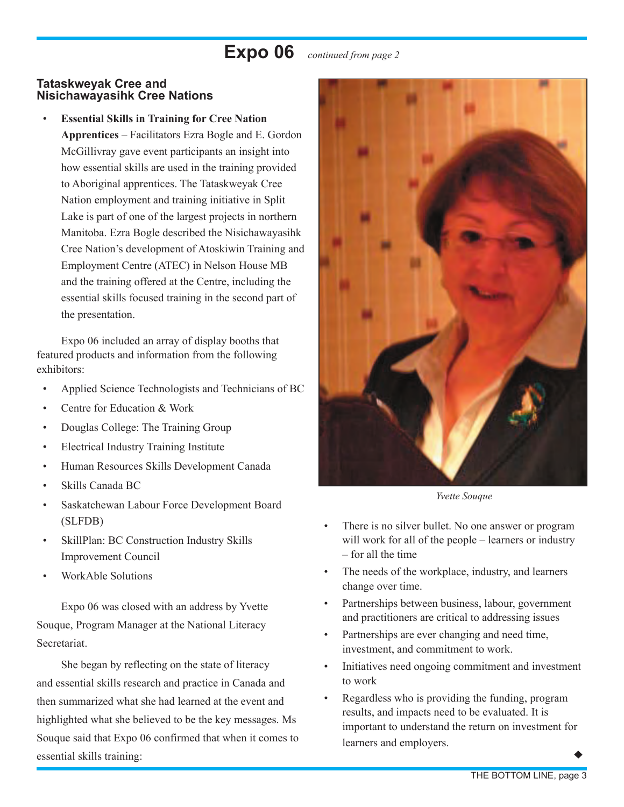### **Expo 06** *continued from page 2*

### **Tataskweyak Cree and Nisichawayasihk Cree Nations**

• **Essential Skills in Training for Cree Nation Apprentices** – Facilitators Ezra Bogle and E. Gordon McGillivray gave event participants an insight into how essential skills are used in the training provided to Aboriginal apprentices. The Tataskweyak Cree Nation employment and training initiative in Split Lake is part of one of the largest projects in northern Manitoba. Ezra Bogle described the Nisichawayasihk Cree Nation's development of Atoskiwin Training and Employment Centre (ATEC) in Nelson House MB and the training offered at the Centre, including the essential skills focused training in the second part of the presentation.

Expo 06 included an array of display booths that featured products and information from the following exhibitors:

- Applied Science Technologists and Technicians of BC
- Centre for Education & Work
- Douglas College: The Training Group
- Electrical Industry Training Institute
- Human Resources Skills Development Canada
- Skills Canada BC
- Saskatchewan Labour Force Development Board (SLFDB)
- SkillPlan: BC Construction Industry Skills Improvement Council
- WorkAble Solutions

Expo 06 was closed with an address by Yvette Souque, Program Manager at the National Literacy Secretariat.

She began by reflecting on the state of literacy and essential skills research and practice in Canada and then summarized what she had learned at the event and highlighted what she believed to be the key messages. Ms Souque said that Expo 06 confirmed that when it comes to essential skills training:



*Yvette Souque*

- There is no silver bullet. No one answer or program will work for all of the people – learners or industry – for all the time
- The needs of the workplace, industry, and learners change over time.
- Partnerships between business, labour, government and practitioners are critical to addressing issues
- Partnerships are ever changing and need time, investment, and commitment to work.
- Initiatives need ongoing commitment and investment to work
- Regardless who is providing the funding, program results, and impacts need to be evaluated. It is important to understand the return on investment for learners and employers.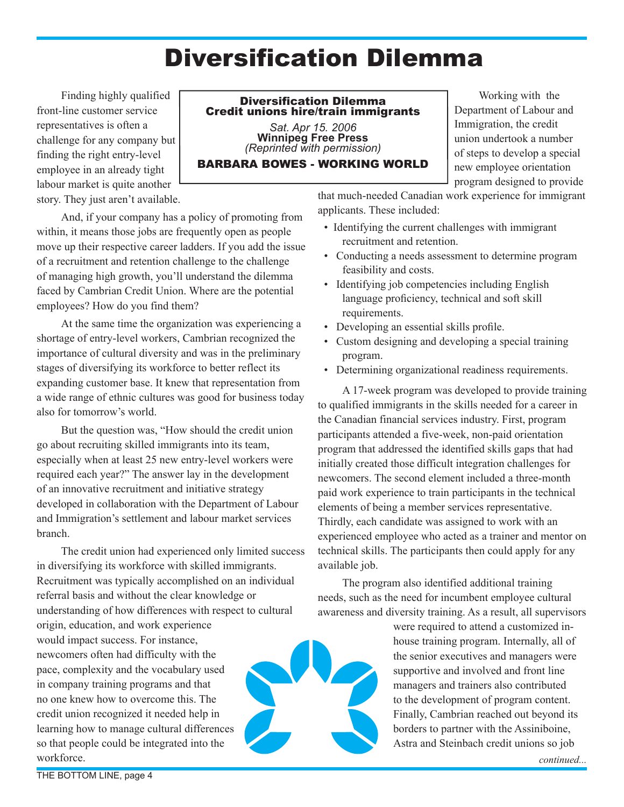# Diversification Dilemma

<span id="page-3-0"></span>Finding highly qualified front-line customer service representatives is often a challenge for any company but finding the right entry-level employee in an already tight labour market is quite another story. They just aren't available.

### Diversification Dilemma Credit unions hire/train immigrants

*Sat. Apr 15. 2006* **Winnipeg Free Press** *(Reprinted with permission)*

### BARBARA BOWES - WORKING WORLD

Working with the Department of Labour and Immigration, the credit union undertook a number of steps to develop a special new employee orientation program designed to provide

And, if your company has a policy of promoting from within, it means those jobs are frequently open as people move up their respective career ladders. If you add the issue of a recruitment and retention challenge to the challenge of managing high growth, you'll understand the dilemma faced by Cambrian Credit Union. Where are the potential employees? How do you find them?

At the same time the organization was experiencing a shortage of entry-level workers, Cambrian recognized the importance of cultural diversity and was in the preliminary stages of diversifying its workforce to better reflect its expanding customer base. It knew that representation from a wide range of ethnic cultures was good for business today also for tomorrow's world.

But the question was, "How should the credit union go about recruiting skilled immigrants into its team, especially when at least 25 new entry-level workers were required each year?" The answer lay in the development of an innovative recruitment and initiative strategy developed in collaboration with the Department of Labour and Immigration's settlement and labour market services branch.

The credit union had experienced only limited success in diversifying its workforce with skilled immigrants. Recruitment was typically accomplished on an individual referral basis and without the clear knowledge or understanding of how differences with respect to cultural

origin, education, and work experience would impact success. For instance, newcomers often had difficulty with the pace, complexity and the vocabulary used in company training programs and that no one knew how to overcome this. The credit union recognized it needed help in learning how to manage cultural differences so that people could be integrated into the workforce.



that much-needed Canadian work experience for immigrant applicants. These included:

- Identifying the current challenges with immigrant recruitment and retention.
- Conducting a needs assessment to determine program feasibility and costs.
- Identifying job competencies including English language proficiency, technical and soft skill requirements.
- Developing an essential skills profile.
- Custom designing and developing a special training program.
- Determining organizational readiness requirements.

A 17-week program was developed to provide training to qualified immigrants in the skills needed for a career in the Canadian financial services industry. First, program participants attended a five-week, non-paid orientation program that addressed the identified skills gaps that had initially created those difficult integration challenges for newcomers. The second element included a three-month paid work experience to train participants in the technical elements of being a member services representative. Thirdly, each candidate was assigned to work with an experienced employee who acted as a trainer and mentor on technical skills. The participants then could apply for any available job.

The program also identified additional training needs, such as the need for incumbent employee cultural awareness and diversity training. As a result, all supervisors

> were required to attend a customized inhouse training program. Internally, all of the senior executives and managers were supportive and involved and front line managers and trainers also contributed to the development of program content. Finally, Cambrian reached out beyond its borders to partner with the Assiniboine, Astra and Steinbach credit unions so job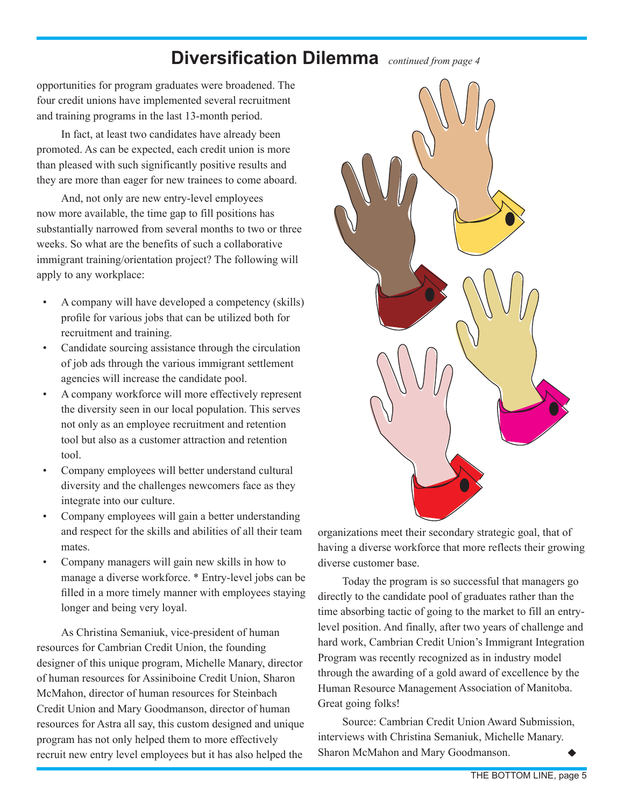### **Diversification Dilemma** *continued from page 4*

opportunities for program graduates were broadened. The four credit unions have implemented several recruitment and training programs in the last 13-month period.

In fact, at least two candidates have already been promoted. As can be expected, each credit union is more than pleased with such significantly positive results and they are more than eager for new trainees to come aboard.

And, not only are new entry-level employees now more available, the time gap to fill positions has substantially narrowed from several months to two or three weeks. So what are the benefits of such a collaborative immigrant training/orientation project? The following will apply to any workplace:

- A company will have developed a competency (skills) profile for various jobs that can be utilized both for recruitment and training.
- Candidate sourcing assistance through the circulation of job ads through the various immigrant settlement agencies will increase the candidate pool.
- A company workforce will more effectively represent the diversity seen in our local population. This serves not only as an employee recruitment and retention tool but also as a customer attraction and retention tool.
- Company employees will better understand cultural diversity and the challenges newcomers face as they integrate into our culture.
- Company employees will gain a better understanding and respect for the skills and abilities of all their team mates.
- Company managers will gain new skills in how to manage a diverse workforce. \* Entry-level jobs can be filled in a more timely manner with employees staying longer and being very loyal.

As Christina Semaniuk, vice-president of human resources for Cambrian Credit Union, the founding designer of this unique program, Michelle Manary, director of human resources for Assiniboine Credit Union, Sharon McMahon, director of human resources for Steinbach Credit Union and Mary Goodmanson, director of human resources for Astra all say, this custom designed and unique program has not only helped them to more effectively recruit new entry level employees but it has also helped the



organizations meet their secondary strategic goal, that of having a diverse workforce that more reflects their growing diverse customer base.

Today the program is so successful that managers go directly to the candidate pool of graduates rather than the time absorbing tactic of going to the market to fill an entrylevel position. And finally, after two years of challenge and hard work, Cambrian Credit Union's Immigrant Integration Program was recently recognized as in industry model through the awarding of a gold award of excellence by the Human Resource Management Association of Manitoba. Great going folks!

Source: Cambrian Credit Union Award Submission, interviews with Christina Semaniuk, Michelle Manary. Sharon McMahon and Mary Goodmanson.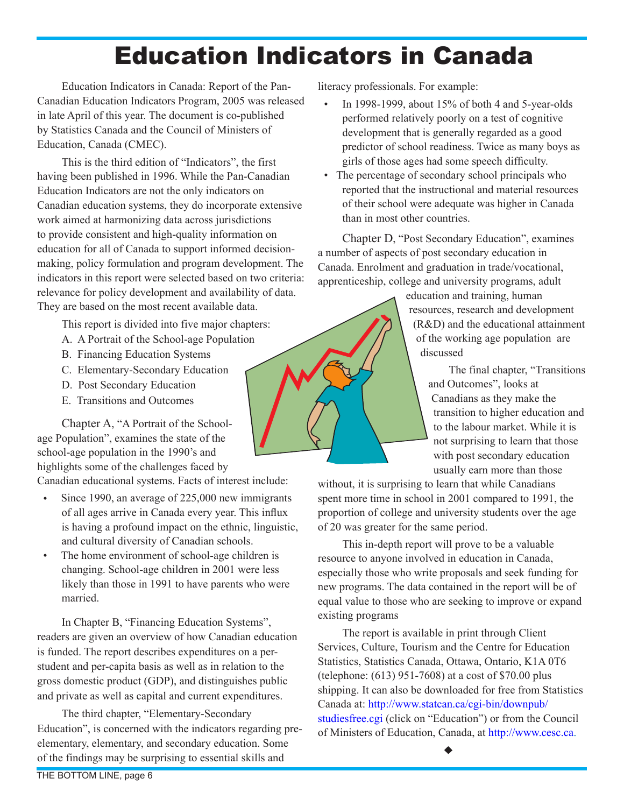# Education Indicators in Canada

<span id="page-5-0"></span>Education Indicators in Canada: Report of the Pan-Canadian Education Indicators Program, 2005 was released in late April of this year. The document is co-published by Statistics Canada and the Council of Ministers of Education, Canada (CMEC).

This is the third edition of "Indicators", the first having been published in 1996. While the Pan-Canadian Education Indicators are not the only indicators on Canadian education systems, they do incorporate extensive work aimed at harmonizing data across jurisdictions to provide consistent and high-quality information on education for all of Canada to support informed decisionmaking, policy formulation and program development. The indicators in this report were selected based on two criteria: relevance for policy development and availability of data. They are based on the most recent available data.

This report is divided into five major chapters:

- A. A Portrait of the School-age Population
- B. Financing Education Systems
- C. Elementary-Secondary Education
- D. Post Secondary Education
- E. Transitions and Outcomes

Chapter A, "A Portrait of the Schoolage Population", examines the state of the school-age population in the 1990's and highlights some of the challenges faced by

Canadian educational systems. Facts of interest include:

- Since 1990, an average of 225,000 new immigrants of all ages arrive in Canada every year. This influx is having a profound impact on the ethnic, linguistic, and cultural diversity of Canadian schools.
- The home environment of school-age children is changing. School-age children in 2001 were less likely than those in 1991 to have parents who were married.

In Chapter B, "Financing Education Systems", readers are given an overview of how Canadian education is funded. The report describes expenditures on a perstudent and per-capita basis as well as in relation to the gross domestic product (GDP), and distinguishes public and private as well as capital and current expenditures.

The third chapter, "Elementary-Secondary Education", is concerned with the indicators regarding preelementary, elementary, and secondary education. Some of the findings may be surprising to essential skills and

literacy professionals. For example:

- In 1998-1999, about 15% of both 4 and 5-year-olds performed relatively poorly on a test of cognitive development that is generally regarded as a good predictor of school readiness. Twice as many boys as girls of those ages had some speech difficulty.
- The percentage of secondary school principals who reported that the instructional and material resources of their school were adequate was higher in Canada than in most other countries.

Chapter D, "Post Secondary Education", examines a number of aspects of post secondary education in Canada. Enrolment and graduation in trade/vocational, apprenticeship, college and university programs, adult

> education and training, human resources, research and development (R&D) and the educational attainment of the working age population are discussed

> > The final chapter, "Transitions and Outcomes", looks at Canadians as they make the transition to higher education and to the labour market. While it is not surprising to learn that those with post secondary education usually earn more than those

without, it is surprising to learn that while Canadians spent more time in school in 2001 compared to 1991, the proportion of college and university students over the age of 20 was greater for the same period.

This in-depth report will prove to be a valuable resource to anyone involved in education in Canada, especially those who write proposals and seek funding for new programs. The data contained in the report will be of equal value to those who are seeking to improve or expand existing programs

The report is available in print through Client Services, Culture, Tourism and the Centre for Education Statistics, Statistics Canada, Ottawa, Ontario, K1A 0T6 (telephone: (613) 951-7608) at a cost of \$70.00 plus shipping. It can also be downloaded for free from Statistics Canada at: [http://www.statcan.ca/cgi-bin/downpub/](http://www.statcan.ca/cgi-bin/downpub/studiesfree.cgi) [studiesfree.cgi](http://www.statcan.ca/cgi-bin/downpub/studiesfree.cgi) (click on "Education") or from the Council of Ministers of Education, Canada, at [http://www.cesc.ca.](http://www.cesc.ca)